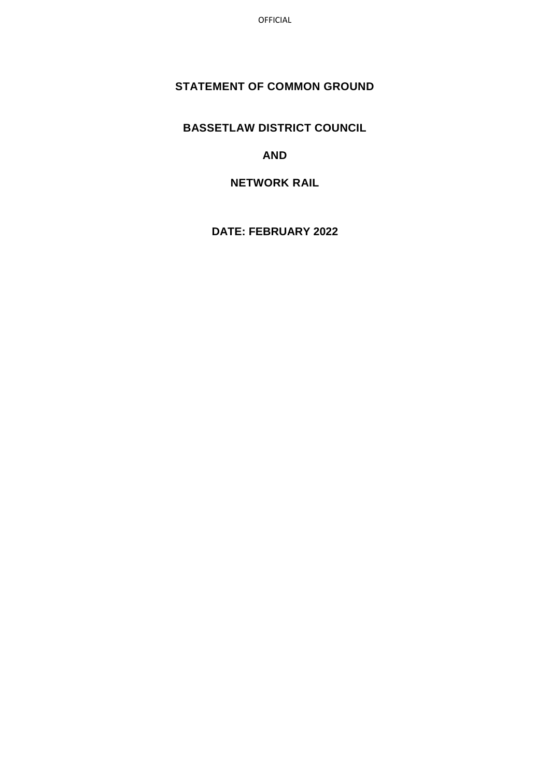OFFICIAL

## **STATEMENT OF COMMON GROUND**

**BASSETLAW DISTRICT COUNCIL**

**AND**

**NETWORK RAIL**

**DATE: FEBRUARY 2022**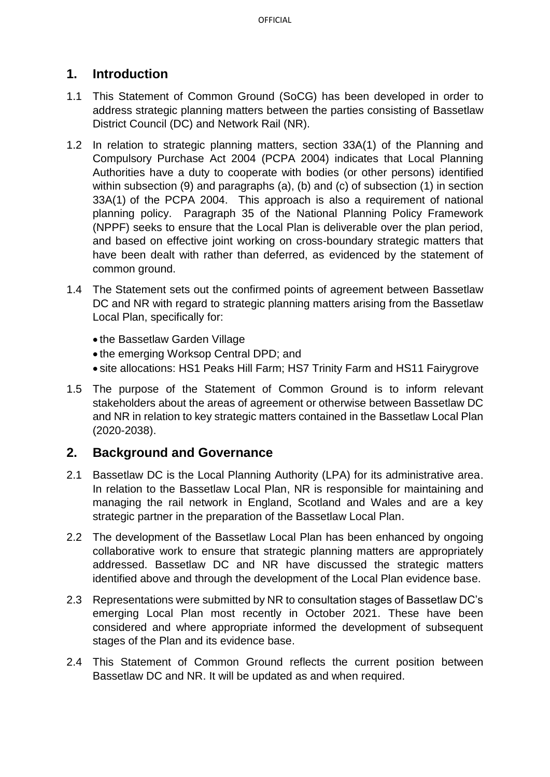# **1. Introduction**

- 1.1 This Statement of Common Ground (SoCG) has been developed in order to address strategic planning matters between the parties consisting of Bassetlaw District Council (DC) and Network Rail (NR).
- 1.2 In relation to strategic planning matters, section 33A(1) of the Planning and Compulsory Purchase Act 2004 (PCPA 2004) indicates that Local Planning Authorities have a duty to cooperate with bodies (or other persons) identified within subsection (9) and paragraphs (a), (b) and (c) of subsection (1) in section 33A(1) of the PCPA 2004.This approach is also a requirement of national planning policy. Paragraph 35 of the National Planning Policy Framework (NPPF) seeks to ensure that the Local Plan is deliverable over the plan period, and based on effective joint working on cross-boundary strategic matters that have been dealt with rather than deferred, as evidenced by the statement of common ground.
- 1.4 The Statement sets out the confirmed points of agreement between Bassetlaw DC and NR with regard to strategic planning matters arising from the Bassetlaw Local Plan, specifically for:
	- the Bassetlaw Garden Village
	- the emerging Worksop Central DPD; and
	- site allocations: HS1 Peaks Hill Farm; HS7 Trinity Farm and HS11 Fairygrove
- 1.5 The purpose of the Statement of Common Ground is to inform relevant stakeholders about the areas of agreement or otherwise between Bassetlaw DC and NR in relation to key strategic matters contained in the Bassetlaw Local Plan (2020-2038).

## **2. Background and Governance**

- 2.1 Bassetlaw DC is the Local Planning Authority (LPA) for its administrative area. In relation to the Bassetlaw Local Plan, NR is responsible for maintaining and managing the rail network in England, Scotland and Wales and are a key strategic partner in the preparation of the Bassetlaw Local Plan.
- 2.2 The development of the Bassetlaw Local Plan has been enhanced by ongoing collaborative work to ensure that strategic planning matters are appropriately addressed. Bassetlaw DC and NR have discussed the strategic matters identified above and through the development of the Local Plan evidence base.
- 2.3 Representations were submitted by NR to consultation stages of Bassetlaw DC's emerging Local Plan most recently in October 2021. These have been considered and where appropriate informed the development of subsequent stages of the Plan and its evidence base.
- 2.4 This Statement of Common Ground reflects the current position between Bassetlaw DC and NR. It will be updated as and when required.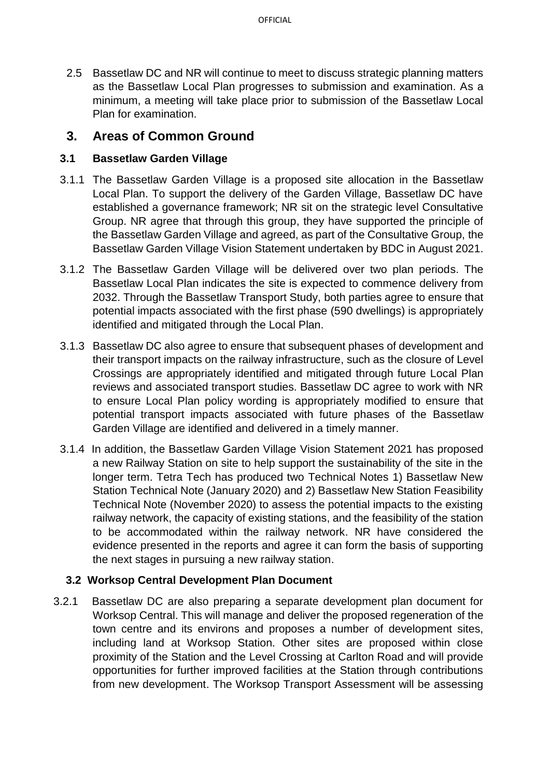2.5 Bassetlaw DC and NR will continue to meet to discuss strategic planning matters as the Bassetlaw Local Plan progresses to submission and examination. As a minimum, a meeting will take place prior to submission of the Bassetlaw Local Plan for examination.

## **3. Areas of Common Ground**

#### **3.1 Bassetlaw Garden Village**

- 3.1.1 The Bassetlaw Garden Village is a proposed site allocation in the Bassetlaw Local Plan. To support the delivery of the Garden Village, Bassetlaw DC have established a governance framework; NR sit on the strategic level Consultative Group. NR agree that through this group, they have supported the principle of the Bassetlaw Garden Village and agreed, as part of the Consultative Group, the Bassetlaw Garden Village Vision Statement undertaken by BDC in August 2021.
- 3.1.2 The Bassetlaw Garden Village will be delivered over two plan periods. The Bassetlaw Local Plan indicates the site is expected to commence delivery from 2032. Through the Bassetlaw Transport Study, both parties agree to ensure that potential impacts associated with the first phase (590 dwellings) is appropriately identified and mitigated through the Local Plan.
- 3.1.3 Bassetlaw DC also agree to ensure that subsequent phases of development and their transport impacts on the railway infrastructure, such as the closure of Level Crossings are appropriately identified and mitigated through future Local Plan reviews and associated transport studies. Bassetlaw DC agree to work with NR to ensure Local Plan policy wording is appropriately modified to ensure that potential transport impacts associated with future phases of the Bassetlaw Garden Village are identified and delivered in a timely manner.
- 3.1.4 In addition, the Bassetlaw Garden Village Vision Statement 2021 has proposed a new Railway Station on site to help support the sustainability of the site in the longer term. Tetra Tech has produced two Technical Notes 1) Bassetlaw New Station Technical Note (January 2020) and 2) Bassetlaw New Station Feasibility Technical Note (November 2020) to assess the potential impacts to the existing railway network, the capacity of existing stations, and the feasibility of the station to be accommodated within the railway network. NR have considered the evidence presented in the reports and agree it can form the basis of supporting the next stages in pursuing a new railway station.

#### **3.2 Worksop Central Development Plan Document**

3.2.1 Bassetlaw DC are also preparing a separate development plan document for Worksop Central. This will manage and deliver the proposed regeneration of the town centre and its environs and proposes a number of development sites, including land at Worksop Station. Other sites are proposed within close proximity of the Station and the Level Crossing at Carlton Road and will provide opportunities for further improved facilities at the Station through contributions from new development. The Worksop Transport Assessment will be assessing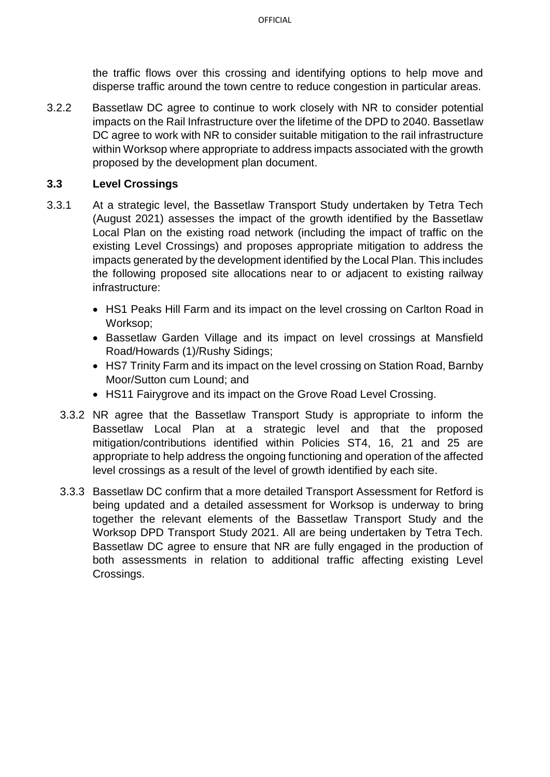the traffic flows over this crossing and identifying options to help move and disperse traffic around the town centre to reduce congestion in particular areas.

3.2.2 Bassetlaw DC agree to continue to work closely with NR to consider potential impacts on the Rail Infrastructure over the lifetime of the DPD to 2040. Bassetlaw DC agree to work with NR to consider suitable mitigation to the rail infrastructure within Worksop where appropriate to address impacts associated with the growth proposed by the development plan document.

### **3.3 Level Crossings**

- 3.3.1 At a strategic level, the Bassetlaw Transport Study undertaken by Tetra Tech (August 2021) assesses the impact of the growth identified by the Bassetlaw Local Plan on the existing road network (including the impact of traffic on the existing Level Crossings) and proposes appropriate mitigation to address the impacts generated by the development identified by the Local Plan. This includes the following proposed site allocations near to or adjacent to existing railway infrastructure:
	- HS1 Peaks Hill Farm and its impact on the level crossing on Carlton Road in Worksop;
	- Bassetlaw Garden Village and its impact on level crossings at Mansfield Road/Howards (1)/Rushy Sidings;
	- HS7 Trinity Farm and its impact on the level crossing on Station Road, Barnby Moor/Sutton cum Lound; and
	- HS11 Fairygrove and its impact on the Grove Road Level Crossing.
	- 3.3.2 NR agree that the Bassetlaw Transport Study is appropriate to inform the Bassetlaw Local Plan at a strategic level and that the proposed mitigation/contributions identified within Policies ST4, 16, 21 and 25 are appropriate to help address the ongoing functioning and operation of the affected level crossings as a result of the level of growth identified by each site.
	- 3.3.3 Bassetlaw DC confirm that a more detailed Transport Assessment for Retford is being updated and a detailed assessment for Worksop is underway to bring together the relevant elements of the Bassetlaw Transport Study and the Worksop DPD Transport Study 2021. All are being undertaken by Tetra Tech. Bassetlaw DC agree to ensure that NR are fully engaged in the production of both assessments in relation to additional traffic affecting existing Level Crossings.